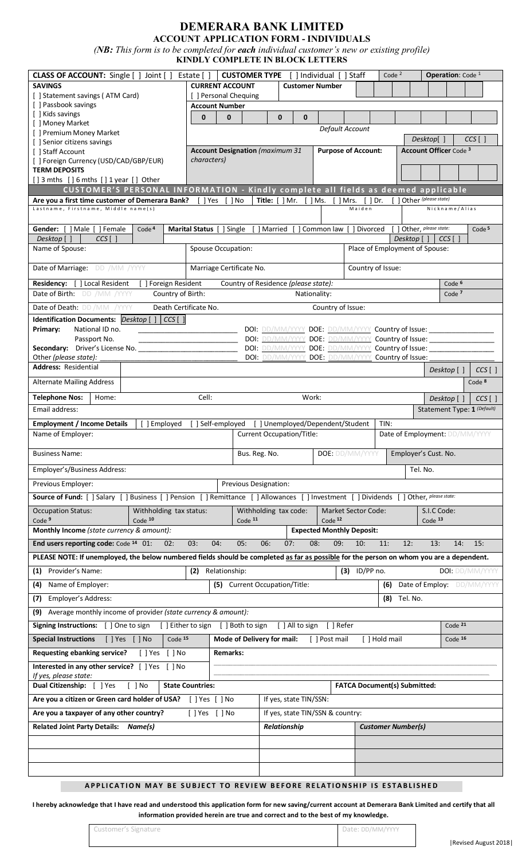# **DEMERARA BANK LIMITED**

**ACCOUNT APPLICATION FORM - INDIVIDUALS** *(NB: This form is to be completed for each individual customer's new or existing profile)*

| <b>KINDLY COMPLETE IN BLOCK LETTERS</b>                                                                                                  |                                                |                            |                                                   |                                   |                                     |                                |                               |                                                                     |
|------------------------------------------------------------------------------------------------------------------------------------------|------------------------------------------------|----------------------------|---------------------------------------------------|-----------------------------------|-------------------------------------|--------------------------------|-------------------------------|---------------------------------------------------------------------|
| <b>CLASS OF ACCOUNT:</b> Single [ ] Joint [ ]                                                                                            | Estate [ ]                                     |                            | <b>CUSTOMER TYPE</b> [ ] Individual [ ] Staff     |                                   |                                     | Code $2$                       |                               | <b>Operation: Code 1</b>                                            |
| <b>SAVINGS</b>                                                                                                                           | <b>CURRENT ACCOUNT</b>                         |                            | <b>Customer Number</b>                            |                                   |                                     |                                |                               |                                                                     |
| [ ] Statement savings (ATM Card)<br>[ ] Passbook savings                                                                                 | [ ] Personal Chequing<br><b>Account Number</b> |                            |                                                   |                                   |                                     |                                |                               |                                                                     |
| [ ] Kids savings                                                                                                                         | $\mathbf 0$<br>$\mathbf 0$                     |                            | $\mathbf 0$<br>0                                  |                                   |                                     |                                |                               |                                                                     |
| [ ] Money Market<br>[ ] Premium Money Market                                                                                             |                                                |                            |                                                   | Default Account                   |                                     |                                |                               |                                                                     |
| [ ] Senior citizens savings                                                                                                              |                                                |                            |                                                   |                                   |                                     |                                |                               | Desktop[]<br>$CCS$ []                                               |
| [ ] Staff Account                                                                                                                        | <b>Account Designation</b> (maximum 31         |                            |                                                   | <b>Purpose of Account:</b>        |                                     |                                | <b>Account Officer Code 3</b> |                                                                     |
| [ ] Foreign Currency (USD/CAD/GBP/EUR)<br><b>TERM DEPOSITS</b>                                                                           | characters)                                    |                            |                                                   |                                   |                                     |                                |                               |                                                                     |
| $[$ ] 3 mths $[$ ] 6 mths $[$ ] 1 year $[$ ] Other                                                                                       |                                                |                            |                                                   |                                   |                                     |                                |                               |                                                                     |
| CUSTOMER'S PERSONAL INFORMATION - Kindly complete all fields as deemed applicable                                                        |                                                |                            |                                                   |                                   |                                     |                                |                               |                                                                     |
| Are you a first time customer of Demerara Bank? [ ] Yes<br>Lastname, Firstname, Middle name(s)                                           |                                                | [ ] No                     | Title: $\lceil \cdot \rceil$ Mr.                  | $[$ ] Ms. $[$ ] Mrs. $[$ ] Dr.    | Maiden                              |                                |                               | Other (please state)<br>Nickname/Alias                              |
|                                                                                                                                          |                                                |                            |                                                   |                                   |                                     |                                |                               |                                                                     |
| Gender: [ ] Male [ ] Female<br>Code <sup>4</sup>                                                                                         | Marital Status [                               | ] Single                   | [ ] Married                                       | ] Common law [ ] Divorced         |                                     |                                |                               | [ ] Other, please state:<br>Code <sup>5</sup>                       |
| Desktop [ ]<br>$CCS$ [ ]                                                                                                                 |                                                |                            |                                                   |                                   |                                     |                                | Desktop []                    | CCS <sub>I</sub>                                                    |
| Name of Spouse:                                                                                                                          | Spouse Occupation:                             |                            |                                                   |                                   |                                     |                                |                               | Place of Employment of Spouse:                                      |
| Date of Marriage: DD /MM /YYYY                                                                                                           | Marriage Certificate No.                       |                            |                                                   |                                   | Country of Issue:                   |                                |                               |                                                                     |
| Residency: [ ] Local Resident<br>[ ] Foreign Resident                                                                                    |                                                |                            | Country of Residence (please state):              |                                   |                                     |                                |                               | Code <sup>6</sup>                                                   |
| Country of Birth:<br>Date of Birth: DD /MM /YYYY                                                                                         |                                                |                            | Nationality:                                      |                                   |                                     |                                |                               | Code <sup>7</sup>                                                   |
| Date of Death: DD /MM /YYYY<br>Death Certificate No.                                                                                     |                                                |                            |                                                   | Country of Issue:                 |                                     |                                |                               |                                                                     |
| <b>Identification Documents:</b> $Desktop$ $[$ $]$ $[$ $CCS$ $[$ $]$                                                                     |                                                |                            |                                                   |                                   |                                     |                                |                               |                                                                     |
| Primary:<br>National ID no.                                                                                                              |                                                |                            |                                                   |                                   |                                     |                                |                               | DOI: DD/MM/YYYY DOE: DD/MM/YYYY Country of Issue: _______________   |
| Passport No.<br>Secondary: Driver's License No.                                                                                          |                                                |                            | DOI: DD/MM/YYYY DOE: DD/MM/YYYY Country of Issue: |                                   |                                     |                                |                               | DOI: DD/MM/YYYY_DOE: DD/MM/YYYY_Country of Issue: _________________ |
| Other (please state):                                                                                                                    |                                                |                            | DOI: DD/MM/YYYY                                   | DOE: DD/MM/YYYY Country of Issue: |                                     |                                |                               |                                                                     |
| <b>Address: Residential</b>                                                                                                              |                                                |                            |                                                   |                                   |                                     |                                |                               | Desktop []<br>$CCS$ [ ]                                             |
| <b>Alternate Mailing Address</b>                                                                                                         |                                                |                            |                                                   |                                   |                                     |                                |                               | Code <sup>8</sup>                                                   |
| <b>Telephone Nos:</b><br>Home:                                                                                                           | Cell:                                          |                            | Work:                                             |                                   |                                     |                                |                               | Desktop []<br>$CCS$ []                                              |
| Email address:                                                                                                                           |                                                |                            |                                                   |                                   |                                     |                                |                               | Statement Type: 1 (Default)                                         |
| <b>Employment / Income Details</b><br>[ ] Employed                                                                                       | 1 Self-employed                                |                            | ] Unemployed/Dependent/Student                    |                                   |                                     | TIN:                           |                               |                                                                     |
| Name of Emplover:<br><b>Current Occupation/Title:</b>                                                                                    |                                                |                            |                                                   |                                   |                                     | Date of Employment: DD/MM/YYYY |                               |                                                                     |
| <b>Business Name:</b>                                                                                                                    |                                                | Bus. Reg. No.              |                                                   | DOE: DD/MM/YYYY                   |                                     |                                |                               | Employer's Cust. No.                                                |
| Employer's/Business Address:                                                                                                             |                                                | Tel. No.                   |                                                   |                                   |                                     |                                |                               |                                                                     |
| Previous Designation:                                                                                                                    |                                                |                            |                                                   |                                   |                                     |                                |                               |                                                                     |
| Previous Employer:                                                                                                                       |                                                |                            |                                                   |                                   |                                     |                                |                               |                                                                     |
| Source of Fund: [ ] Salary [ ] Business [ ] Pension [ ] Remittance [ ] Allowances [ ] Investment [ ] Dividends [ ] Other, please state:  |                                                |                            |                                                   |                                   |                                     |                                |                               |                                                                     |
| <b>Occupation Status:</b>                                                                                                                |                                                |                            |                                                   |                                   | <b>Market Sector Code:</b>          |                                |                               | S.I.C Code:                                                         |
| Withholding tax status:<br>Code <sup>9</sup><br>Code 10                                                                                  |                                                | Code $11$                  | Withholding tax code:                             | Code <sup>12</sup>                |                                     |                                |                               | Code 13                                                             |
| Monthly Income (state currency & amount):                                                                                                |                                                |                            |                                                   | <b>Expected Monthly Deposit:</b>  |                                     |                                |                               |                                                                     |
| End users reporting code: Code 14 01:<br>02:                                                                                             | 03:<br>04:                                     | 05:<br>06:                 | 07:                                               | 08:<br>09:                        | 10:                                 | 11:                            | 12:                           | 13:<br>14:<br>15:                                                   |
| PLEASE NOTE: If unemployed, the below numbered fields should be completed as far as possible for the person on whom you are a dependent. |                                                |                            |                                                   |                                   |                                     |                                |                               |                                                                     |
| Provider's Name:<br>(1)                                                                                                                  | (2) Relationship:                              |                            |                                                   |                                   | $(3)$ ID/PP no.                     |                                |                               | DOI: DD/MM/YYYY                                                     |
| Name of Employer:<br>(4)                                                                                                                 | (5)                                            |                            | <b>Current Occupation/Title:</b>                  |                                   |                                     | (6)                            |                               | Date of Employ: DD/MM/YYYY                                          |
| Employer's Address:<br>(7)                                                                                                               |                                                |                            |                                                   |                                   |                                     | (8)                            | Tel. No.                      |                                                                     |
| (9)                                                                                                                                      |                                                |                            |                                                   |                                   |                                     |                                |                               |                                                                     |
| Average monthly income of provider (state currency & amount):                                                                            |                                                |                            |                                                   |                                   |                                     |                                |                               | Code $21$                                                           |
| Signing Instructions: [ ] One to sign [ ] Either to sign [ ] Both to sign                                                                |                                                |                            | [ ] All to sign                                   | [ ] Refer                         |                                     |                                |                               |                                                                     |
| <b>Special Instructions</b><br>[ ] Yes [ ] No<br>Code $15$                                                                               |                                                | Mode of Delivery for mail: |                                                   | [ ] Post mail                     |                                     | [ ] Hold mail                  |                               | Code $16$                                                           |
| <b>Requesting ebanking service?</b><br>[ ] Yes [ ] No                                                                                    | <b>Remarks:</b>                                |                            |                                                   |                                   |                                     |                                |                               |                                                                     |
| Interested in any other service? [ ] Yes [ ] No<br>If yes, please state:                                                                 |                                                |                            |                                                   |                                   |                                     |                                |                               |                                                                     |
| Dual Citizenship: [ ] Yes<br>$[$ ] No                                                                                                    | <b>State Countries:</b>                        |                            |                                                   |                                   | <b>FATCA Document(s) Submitted:</b> |                                |                               |                                                                     |
| Are you a citizen or Green card holder of USA? [ ] Yes [ ] No                                                                            |                                                |                            | If yes, state TIN/SSN:                            |                                   |                                     |                                |                               |                                                                     |
| Are you a taxpayer of any other country?                                                                                                 | [ ] Yes [ ] No                                 |                            | If yes, state TIN/SSN & country:                  |                                   |                                     |                                |                               |                                                                     |
| Related Joint Party Details: Name(s)                                                                                                     |                                                |                            | Relationship                                      |                                   |                                     | <b>Customer Number(s)</b>      |                               |                                                                     |
|                                                                                                                                          |                                                |                            |                                                   |                                   |                                     |                                |                               |                                                                     |
|                                                                                                                                          |                                                |                            |                                                   |                                   |                                     |                                |                               |                                                                     |
|                                                                                                                                          |                                                |                            |                                                   |                                   |                                     |                                |                               |                                                                     |

### **APPLICATION MAY BE SUBJECT TO REVIEW BEFORE RELATIONSHIP IS ESTABLISHED**

**I hereby acknowledge that I have read and understood this application form for new saving/current account at Demerara Bank Limited and certify that all information provided herein are true and correct and to the best of my knowledge.**